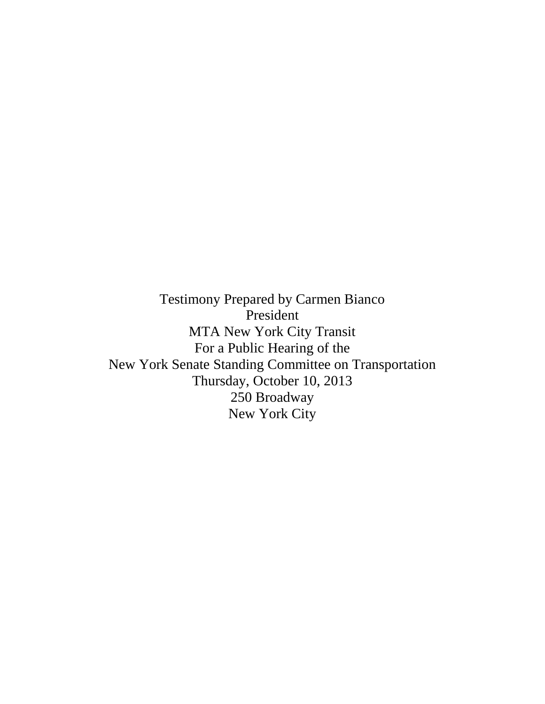Testimony Prepared by Carmen Bianco President MTA New York City Transit For a Public Hearing of the New York Senate Standing Committee on Transportation Thursday, October 10, 2013 250 Broadway New York City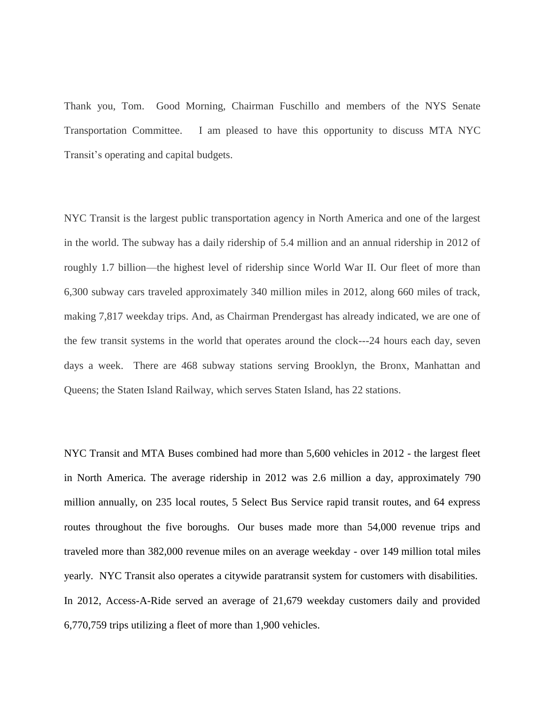Thank you, Tom. Good Morning, Chairman Fuschillo and members of the NYS Senate Transportation Committee. I am pleased to have this opportunity to discuss MTA NYC Transit's operating and capital budgets.

NYC Transit is the largest public transportation agency in North America and one of the largest in the world. The subway has a daily ridership of 5.4 million and an annual ridership in 2012 of roughly 1.7 billion—the highest level of ridership since World War II. Our fleet of more than 6,300 subway cars traveled approximately 340 million miles in 2012, along 660 miles of track, making 7,817 weekday trips. And, as Chairman Prendergast has already indicated, we are one of the few transit systems in the world that operates around the clock---24 hours each day, seven days a week. There are 468 subway stations serving Brooklyn, the Bronx, Manhattan and Queens; the Staten Island Railway, which serves Staten Island, has 22 stations.

NYC Transit and MTA Buses combined had more than 5,600 vehicles in 2012 - the largest fleet in North America. The average ridership in 2012 was 2.6 million a day, approximately 790 million annually, on 235 local routes, 5 Select Bus Service rapid transit routes, and 64 express routes throughout the five boroughs. Our buses made more than 54,000 revenue trips and traveled more than 382,000 revenue miles on an average weekday - over 149 million total miles yearly. NYC Transit also operates a citywide paratransit system for customers with disabilities. In 2012, Access-A-Ride served an average of 21,679 weekday customers daily and provided 6,770,759 trips utilizing a fleet of more than 1,900 vehicles.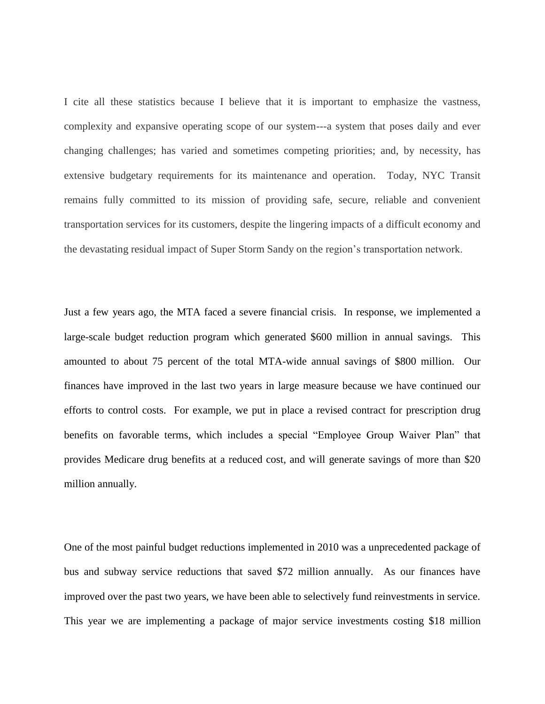I cite all these statistics because I believe that it is important to emphasize the vastness, complexity and expansive operating scope of our system---a system that poses daily and ever changing challenges; has varied and sometimes competing priorities; and, by necessity, has extensive budgetary requirements for its maintenance and operation. Today, NYC Transit remains fully committed to its mission of providing safe, secure, reliable and convenient transportation services for its customers, despite the lingering impacts of a difficult economy and the devastating residual impact of Super Storm Sandy on the region's transportation network.

Just a few years ago, the MTA faced a severe financial crisis. In response, we implemented a large-scale budget reduction program which generated \$600 million in annual savings. This amounted to about 75 percent of the total MTA-wide annual savings of \$800 million. Our finances have improved in the last two years in large measure because we have continued our efforts to control costs. For example, we put in place a revised contract for prescription drug benefits on favorable terms, which includes a special "Employee Group Waiver Plan" that provides Medicare drug benefits at a reduced cost, and will generate savings of more than \$20 million annually.

One of the most painful budget reductions implemented in 2010 was a unprecedented package of bus and subway service reductions that saved \$72 million annually. As our finances have improved over the past two years, we have been able to selectively fund reinvestments in service. This year we are implementing a package of major service investments costing \$18 million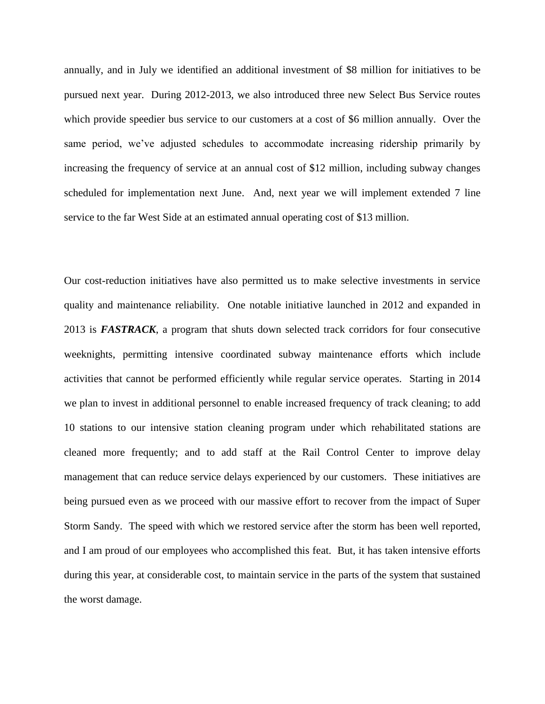annually, and in July we identified an additional investment of \$8 million for initiatives to be pursued next year. During 2012-2013, we also introduced three new Select Bus Service routes which provide speedier bus service to our customers at a cost of \$6 million annually. Over the same period, we've adjusted schedules to accommodate increasing ridership primarily by increasing the frequency of service at an annual cost of \$12 million, including subway changes scheduled for implementation next June. And, next year we will implement extended 7 line service to the far West Side at an estimated annual operating cost of \$13 million.

Our cost-reduction initiatives have also permitted us to make selective investments in service quality and maintenance reliability. One notable initiative launched in 2012 and expanded in 2013 is *FASTRACK*, a program that shuts down selected track corridors for four consecutive weeknights, permitting intensive coordinated subway maintenance efforts which include activities that cannot be performed efficiently while regular service operates. Starting in 2014 we plan to invest in additional personnel to enable increased frequency of track cleaning; to add 10 stations to our intensive station cleaning program under which rehabilitated stations are cleaned more frequently; and to add staff at the Rail Control Center to improve delay management that can reduce service delays experienced by our customers. These initiatives are being pursued even as we proceed with our massive effort to recover from the impact of Super Storm Sandy. The speed with which we restored service after the storm has been well reported, and I am proud of our employees who accomplished this feat. But, it has taken intensive efforts during this year, at considerable cost, to maintain service in the parts of the system that sustained the worst damage.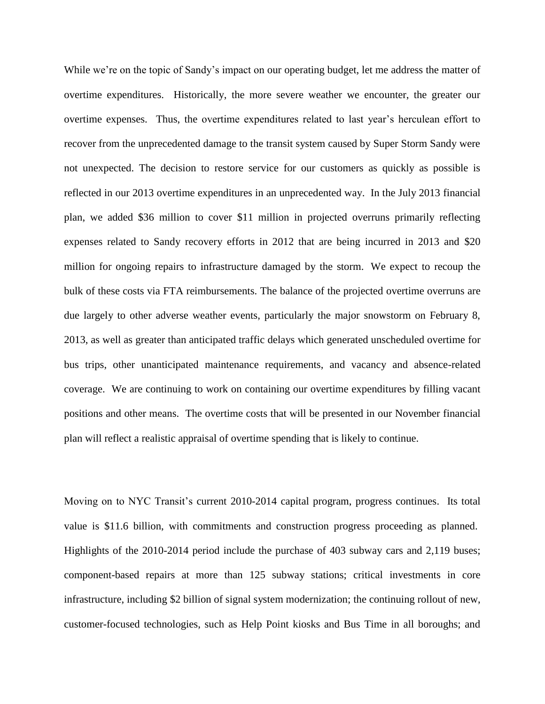While we're on the topic of Sandy's impact on our operating budget, let me address the matter of overtime expenditures. Historically, the more severe weather we encounter, the greater our overtime expenses. Thus, the overtime expenditures related to last year's herculean effort to recover from the unprecedented damage to the transit system caused by Super Storm Sandy were not unexpected. The decision to restore service for our customers as quickly as possible is reflected in our 2013 overtime expenditures in an unprecedented way. In the July 2013 financial plan, we added \$36 million to cover \$11 million in projected overruns primarily reflecting expenses related to Sandy recovery efforts in 2012 that are being incurred in 2013 and \$20 million for ongoing repairs to infrastructure damaged by the storm. We expect to recoup the bulk of these costs via FTA reimbursements. The balance of the projected overtime overruns are due largely to other adverse weather events, particularly the major snowstorm on February 8, 2013, as well as greater than anticipated traffic delays which generated unscheduled overtime for bus trips, other unanticipated maintenance requirements, and vacancy and absence-related coverage. We are continuing to work on containing our overtime expenditures by filling vacant positions and other means. The overtime costs that will be presented in our November financial plan will reflect a realistic appraisal of overtime spending that is likely to continue.

Moving on to NYC Transit's current 2010-2014 capital program, progress continues. Its total value is \$11.6 billion, with commitments and construction progress proceeding as planned. Highlights of the 2010-2014 period include the purchase of 403 subway cars and 2,119 buses; component-based repairs at more than 125 subway stations; critical investments in core infrastructure, including \$2 billion of signal system modernization; the continuing rollout of new, customer-focused technologies, such as Help Point kiosks and Bus Time in all boroughs; and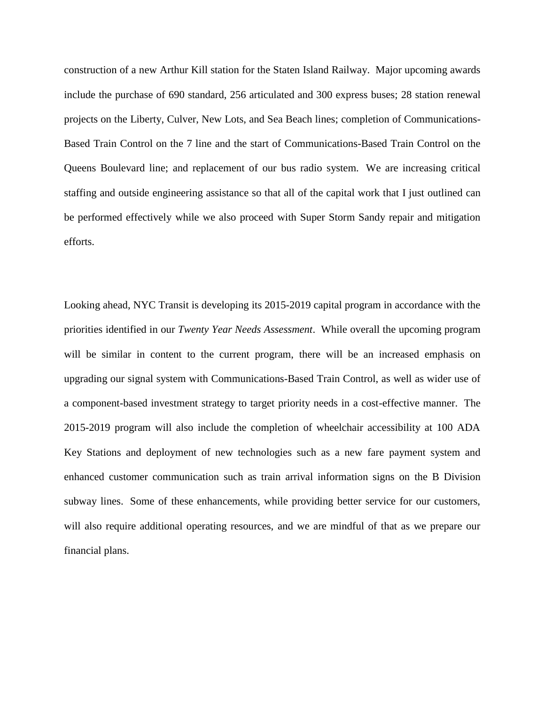construction of a new Arthur Kill station for the Staten Island Railway. Major upcoming awards include the purchase of 690 standard, 256 articulated and 300 express buses; 28 station renewal projects on the Liberty, Culver, New Lots, and Sea Beach lines; completion of Communications-Based Train Control on the 7 line and the start of Communications-Based Train Control on the Queens Boulevard line; and replacement of our bus radio system. We are increasing critical staffing and outside engineering assistance so that all of the capital work that I just outlined can be performed effectively while we also proceed with Super Storm Sandy repair and mitigation efforts.

Looking ahead, NYC Transit is developing its 2015-2019 capital program in accordance with the priorities identified in our *Twenty Year Needs Assessment*. While overall the upcoming program will be similar in content to the current program, there will be an increased emphasis on upgrading our signal system with Communications-Based Train Control, as well as wider use of a component-based investment strategy to target priority needs in a cost-effective manner. The 2015-2019 program will also include the completion of wheelchair accessibility at 100 ADA Key Stations and deployment of new technologies such as a new fare payment system and enhanced customer communication such as train arrival information signs on the B Division subway lines. Some of these enhancements, while providing better service for our customers, will also require additional operating resources, and we are mindful of that as we prepare our financial plans.